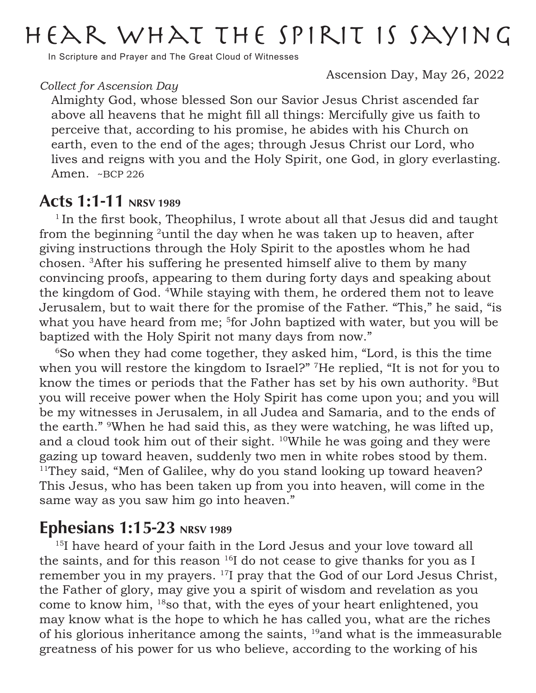# Hear what the Spirit is saying

In Scripture and Prayer and The Great Cloud of Witnesses

Ascension Day, May 26, 2022

#### *Collect for Ascension Day*

Almighty God, whose blessed Son our Savior Jesus Christ ascended far above all heavens that he might fill all things: Mercifully give us faith to perceive that, according to his promise, he abides with his Church on earth, even to the end of the ages; through Jesus Christ our Lord, who lives and reigns with you and the Holy Spirit, one God, in glory everlasting. Amen. ~BCP 226

## Acts 1:1-11 NRSV 1989

 $1$ In the first book, Theophilus, I wrote about all that Jesus did and taught from the beginning 2until the day when he was taken up to heaven, after giving instructions through the Holy Spirit to the apostles whom he had chosen. 3After his suffering he presented himself alive to them by many convincing proofs, appearing to them during forty days and speaking about the kingdom of God. 4While staying with them, he ordered them not to leave Jerusalem, but to wait there for the promise of the Father. "This," he said, "is what you have heard from me; <sup>5</sup>for John baptized with water, but you will be baptized with the Holy Spirit not many days from now."

<sup>6</sup>So when they had come together, they asked him, "Lord, is this the time when you will restore the kingdom to Israel?" <sup>7</sup>He replied, "It is not for you to know the times or periods that the Father has set by his own authority. <sup>8</sup>But you will receive power when the Holy Spirit has come upon you; and you will be my witnesses in Jerusalem, in all Judea and Samaria, and to the ends of the earth." 9When he had said this, as they were watching, he was lifted up, and a cloud took him out of their sight. 10While he was going and they were gazing up toward heaven, suddenly two men in white robes stood by them. <sup>11</sup>They said, "Men of Galilee, why do you stand looking up toward heaven? This Jesus, who has been taken up from you into heaven, will come in the same way as you saw him go into heaven."

# **Ephesians 1:15-23** NRSV 1989

<sup>15</sup>I have heard of your faith in the Lord Jesus and your love toward all the saints, and for this reason  $^{16}I$  do not cease to give thanks for you as I remember you in my prayers. <sup>17</sup>I pray that the God of our Lord Jesus Christ, the Father of glory, may give you a spirit of wisdom and revelation as you come to know him, 18so that, with the eyes of your heart enlightened, you may know what is the hope to which he has called you, what are the riches of his glorious inheritance among the saints,  $19$  and what is the immeasurable greatness of his power for us who believe, according to the working of his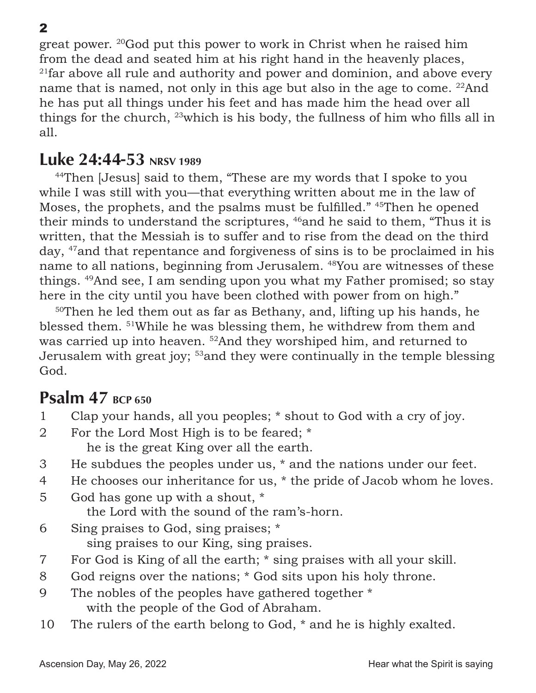great power. 20God put this power to work in Christ when he raised him from the dead and seated him at his right hand in the heavenly places,  $21$ far above all rule and authority and power and dominion, and above every name that is named, not only in this age but also in the age to come. <sup>22</sup>And he has put all things under his feet and has made him the head over all things for the church, 23which is his body, the fullness of him who fills all in all.

## Luke 24:44-53 NRSV 1989

<sup>44</sup>Then [Jesus] said to them, "These are my words that I spoke to you while I was still with you—that everything written about me in the law of Moses, the prophets, and the psalms must be fulfilled." <sup>45</sup>Then he opened their minds to understand the scriptures, <sup>46</sup>and he said to them, "Thus it is written, that the Messiah is to suffer and to rise from the dead on the third day, 47and that repentance and forgiveness of sins is to be proclaimed in his name to all nations, beginning from Jerusalem. 48You are witnesses of these things. 49And see, I am sending upon you what my Father promised; so stay here in the city until you have been clothed with power from on high."

<sup>50</sup>Then he led them out as far as Bethany, and, lifting up his hands, he blessed them. 51While he was blessing them, he withdrew from them and was carried up into heaven. <sup>52</sup>And they worshiped him, and returned to Jerusalem with great joy; 53and they were continually in the temple blessing God.

# **Psalm 47 BCP 650**

- 1 Clap your hands, all you peoples; \* shout to God with a cry of joy.
- 2 For the Lord Most High is to be feared; \* he is the great King over all the earth.
- 3 He subdues the peoples under us, \* and the nations under our feet.
- 4 He chooses our inheritance for us, \* the pride of Jacob whom he loves.
- 5 God has gone up with a shout, \* the Lord with the sound of the ram's-horn.
- 6 Sing praises to God, sing praises; \* sing praises to our King, sing praises.
- 7 For God is King of all the earth; \* sing praises with all your skill.
- 8 God reigns over the nations; \* God sits upon his holy throne.
- 9 The nobles of the peoples have gathered together \* with the people of the God of Abraham.
- 10 The rulers of the earth belong to God, \* and he is highly exalted.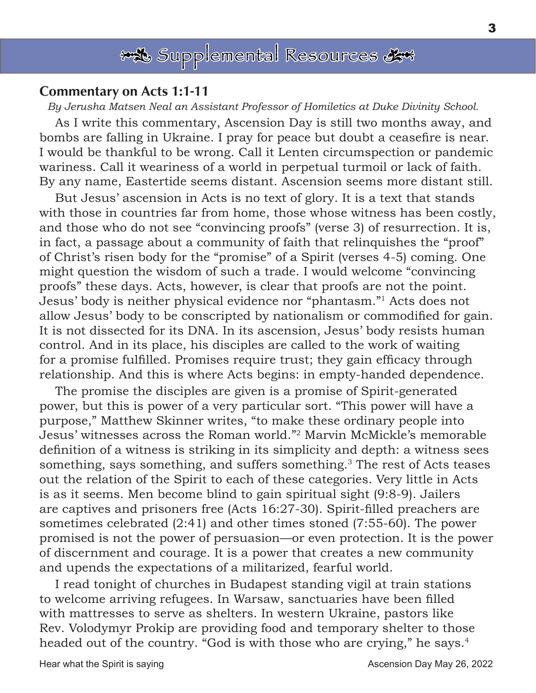

#### Commentary on Acts 1:1-11

*By Jerusha Matsen Neal an Assistant Professor of Homiletics at Duke Divinity School.*

As I write this commentary, Ascension Day is still two months away, and bombs are falling in Ukraine. I pray for peace but doubt a ceasefire is near. I would be thankful to be wrong. Call it Lenten circumspection or pandemic wariness. Call it weariness of a world in perpetual turmoil or lack of faith. By any name, Eastertide seems distant. Ascension seems more distant still.

But Jesus' ascension in Acts is no text of glory. It is a text that stands with those in countries far from home, those whose witness has been costly, and those who do not see "convincing proofs" (verse 3) of resurrection. It is, in fact, a passage about a community of faith that relinquishes the "proof" of Christ's risen body for the "promise" of a Spirit (verses 4-5) coming. One might question the wisdom of such a trade. I would welcome "convincing proofs" these days. Acts, however, is clear that proofs are not the point. Jesus' body is neither physical evidence nor "phantasm."1 Acts does not allow Jesus' body to be conscripted by nationalism or commodified for gain. It is not dissected for its DNA. In its ascension, Jesus' body resists human control. And in its place, his disciples are called to the work of waiting for a promise fulfilled. Promises require trust; they gain efficacy through relationship. And this is where Acts begins: in empty-handed dependence.

The promise the disciples are given is a promise of Spirit-generated power, but this is power of a very particular sort. "This power will have a purpose," Matthew Skinner writes, "to make these ordinary people into Jesus' witnesses across the Roman world."<sup>2</sup> Marvin McMickle's memorable definition of a witness is striking in its simplicity and depth: a witness sees something, says something, and suffers something.<sup>3</sup> The rest of Acts teases out the relation of the Spirit to each of these categories. Very little in Acts is as it seems. Men become blind to gain spiritual sight (9:8-9). Jailers are captives and prisoners free (Acts 16:27-30). Spirit-filled preachers are sometimes celebrated (2:41) and other times stoned (7:55-60). The power promised is not the power of persuasion—or even protection. It is the power of discernment and courage. It is a power that creates a new community and upends the expectations of a militarized, fearful world.

I read tonight of churches in Budapest standing vigil at train stations to welcome arriving refugees. In Warsaw, sanctuaries have been filled with mattresses to serve as shelters. In western Ukraine, pastors like Rev. Volodymyr Prokip are providing food and temporary shelter to those headed out of the country. "God is with those who are crying," he says.<sup>4</sup>